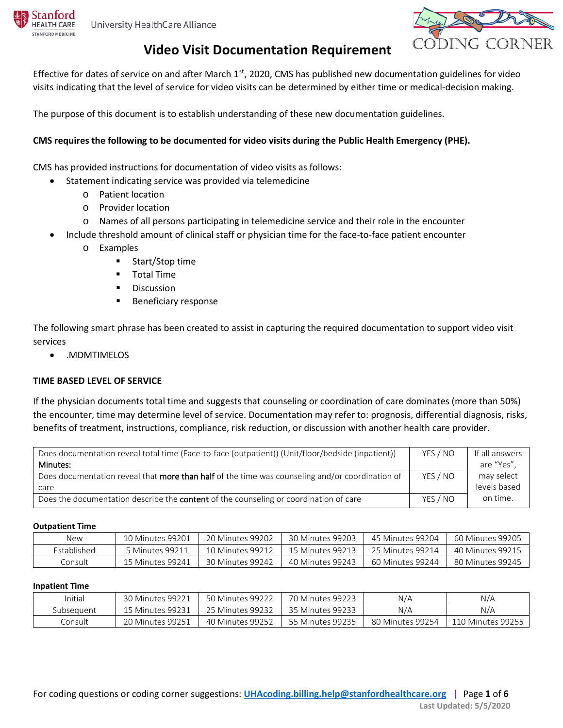Stanford

**IFALTH CARE ANFORD MEDICINE** 



### **Video Visit Documentation Requirement CODING CORNER**

Effective for dates of service on and after March  $1<sup>st</sup>$ , 2020, CMS has published new documentation guidelines for video visits indicating that the level of service for video visits can be determined by either time or medical-decision making.

The purpose of this document is to establish understanding of these new documentation guidelines.

### **CMS requires the following to be documented for video visits during the Public Health Emergency (PHE).**

CMS has provided instructions for documentation of video visits as follows:

- Statement indicating service was provided via telemedicine
	- o Patient location
	- o Provider location
	- o Names of all persons participating in telemedicine service and their role in the encounter
- Include threshold amount of clinical staff or physician time for the face-to-face patient encounter
	- o Examples
		- **Start/Stop time**
		- **Total Time**
		- **Discussion**
		- **Beneficiary response**

The following smart phrase has been created to assist in capturing the required documentation to support video visit services

• .MDMTIMELOS

### **TIME BASED LEVEL OF SERVICE**

If the physician documents total time and suggests that counseling or coordination of care dominates (more than 50%) the encounter, time may determine level of service. Documentation may refer to: prognosis, differential diagnosis, risks, benefits of treatment, instructions, compliance, risk reduction, or discussion with another health care provider.

| Does documentation reveal total time (Face-to-face (outpatient)) (Unit/floor/bedside (inpatient)) | YES / NO | If all answers |
|---------------------------------------------------------------------------------------------------|----------|----------------|
| Minutes:                                                                                          |          | are "Yes",     |
| Does documentation reveal that more than half of the time was counseling and/or coordination of   | YES / NO | may select     |
| care                                                                                              |          | levels based   |
| Does the documentation describe the <b>content</b> of the counseling or coordination of care      | YES / NO | on time.       |

#### **Outpatient Time**

| New                | 10 Minutes 99201 | 20 Minutes 99202 | 30 Minutes 99203 | 45 Minutes 99204 | 60 Minutes 99205 |
|--------------------|------------------|------------------|------------------|------------------|------------------|
| <b>Established</b> | Minutes 99211 ن  | 10 Minutes 99212 | 15 Minutes 99213 | 25 Minutes 99214 | 40 Minutes 99215 |
| Consult            | 15 Minutes 99241 | 30 Minutes 99242 | 40 Minutes 99243 | 60 Minutes 99244 | 80 Minutes 99245 |

#### **Inpatient Time**

| Initial    | 30 Minutes 99221 | 50 Minutes 99222 | 70 Minutes 99223 | N/A              | N/A               |
|------------|------------------|------------------|------------------|------------------|-------------------|
| Subseauent | 15 Minutes 99231 | 25 Minutes 99232 | 35 Minutes 99233 | N/A              | N/A               |
| Consult    | 20 Minutes 99251 | 40 Minutes 99252 | 55 Minutes 99235 | 80 Minutes 99254 | 110 Minutes 99255 |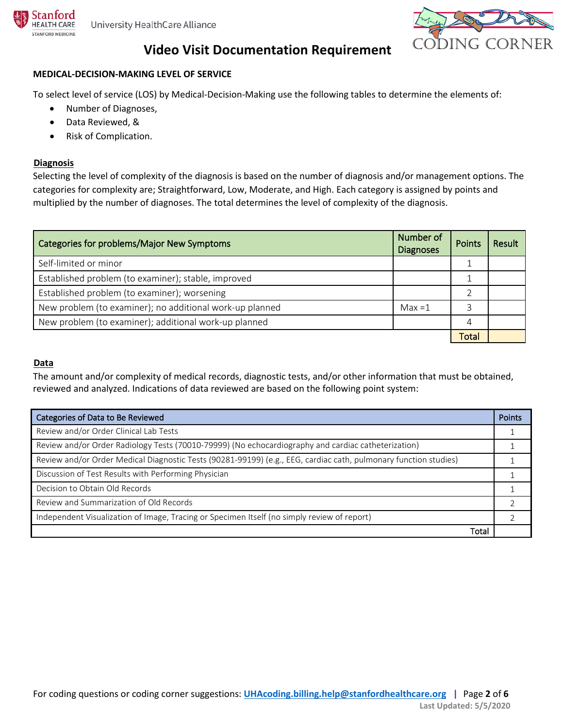



### **MEDICAL-DECISION-MAKING LEVEL OF SERVICE**

To select level of service (LOS) by Medical-Decision-Making use the following tables to determine the elements of:

- Number of Diagnoses,
- Data Reviewed, &
- Risk of Complication.

### **Diagnosis**

Selecting the level of complexity of the diagnosis is based on the number of diagnosis and/or management options. The categories for complexity are; Straightforward, Low, Moderate, and High. Each category is assigned by points and multiplied by the number of diagnoses. The total determines the level of complexity of the diagnosis.

| Categories for problems/Major New Symptoms               | Number of<br><b>Diagnoses</b> | Points       | <b>Result</b> |
|----------------------------------------------------------|-------------------------------|--------------|---------------|
| Self-limited or minor                                    |                               |              |               |
| Established problem (to examiner); stable, improved      |                               |              |               |
| Established problem (to examiner); worsening             |                               |              |               |
| New problem (to examiner); no additional work-up planned | $Max = 1$                     |              |               |
| New problem (to examiner); additional work-up planned    |                               |              |               |
|                                                          |                               | <b>Total</b> |               |

### <sup>U</sup>**Data**

The amount and/or complexity of medical records, diagnostic tests, and/or other information that must be obtained, reviewed and analyzed. Indications of data reviewed are based on the following point system:

| Categories of Data to Be Reviewed                                                                                | <b>Points</b> |
|------------------------------------------------------------------------------------------------------------------|---------------|
| Review and/or Order Clinical Lab Tests                                                                           |               |
| Review and/or Order Radiology Tests (70010-79999) (No echocardiography and cardiac catheterization)              |               |
| Review and/or Order Medical Diagnostic Tests (90281-99199) (e.g., EEG, cardiac cath, pulmonary function studies) |               |
| Discussion of Test Results with Performing Physician                                                             |               |
| Decision to Obtain Old Records                                                                                   |               |
| Review and Summarization of Old Records                                                                          |               |
| Independent Visualization of Image, Tracing or Specimen Itself (no simply review of report)                      |               |
| Total                                                                                                            |               |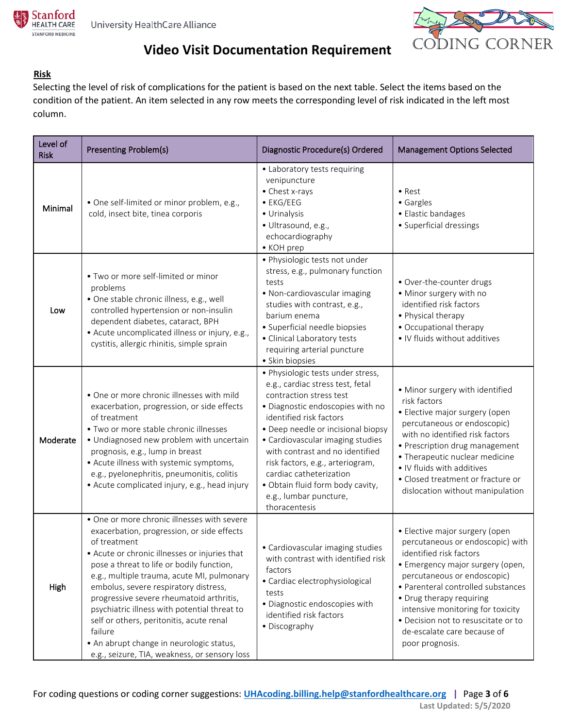



### <sup>U</sup>**Risk**

Selecting the level of risk of complications for the patient is based on the next table. Select the items based on the condition of the patient. An item selected in any row meets the corresponding level of risk indicated in the left most column.

| Level of<br><b>Risk</b> | <b>Presenting Problem(s)</b>                                                                                                                                                                                                                                                                                                                                                                                                                                                                                                                   | Diagnostic Procedure(s) Ordered                                                                                                                                                                                                                                                                                                                                                                                            | <b>Management Options Selected</b>                                                                                                                                                                                                                                                                                                                               |
|-------------------------|------------------------------------------------------------------------------------------------------------------------------------------------------------------------------------------------------------------------------------------------------------------------------------------------------------------------------------------------------------------------------------------------------------------------------------------------------------------------------------------------------------------------------------------------|----------------------------------------------------------------------------------------------------------------------------------------------------------------------------------------------------------------------------------------------------------------------------------------------------------------------------------------------------------------------------------------------------------------------------|------------------------------------------------------------------------------------------------------------------------------------------------------------------------------------------------------------------------------------------------------------------------------------------------------------------------------------------------------------------|
| Minimal                 | • One self-limited or minor problem, e.g.,<br>cold, insect bite, tinea corporis                                                                                                                                                                                                                                                                                                                                                                                                                                                                | • Laboratory tests requiring<br>venipuncture<br>• Chest x-rays<br>$\bullet$ EKG/EEG<br>• Urinalysis<br>· Ultrasound, e.g.,<br>echocardiography<br>• KOH prep                                                                                                                                                                                                                                                               | $\bullet$ Rest<br>• Gargles<br>• Elastic bandages<br>• Superficial dressings                                                                                                                                                                                                                                                                                     |
| Low                     | • Two or more self-limited or minor<br>problems<br>· One stable chronic illness, e.g., well<br>controlled hypertension or non-insulin<br>dependent diabetes, cataract, BPH<br>• Acute uncomplicated illness or injury, e.g.,<br>cystitis, allergic rhinitis, simple sprain                                                                                                                                                                                                                                                                     | · Physiologic tests not under<br>stress, e.g., pulmonary function<br>tests<br>· Non-cardiovascular imaging<br>studies with contrast, e.g.,<br>barium enema<br>· Superficial needle biopsies<br>· Clinical Laboratory tests<br>requiring arterial puncture<br>· Skin biopsies                                                                                                                                               | • Over-the-counter drugs<br>• Minor surgery with no<br>identified risk factors<br>• Physical therapy<br>• Occupational therapy<br>• IV fluids without additives                                                                                                                                                                                                  |
| Moderate                | • One or more chronic illnesses with mild<br>exacerbation, progression, or side effects<br>of treatment<br>· Two or more stable chronic illnesses<br>· Undiagnosed new problem with uncertain<br>prognosis, e.g., lump in breast<br>• Acute illness with systemic symptoms,<br>e.g., pyelonephritis, pneumonitis, colitis<br>• Acute complicated injury, e.g., head injury                                                                                                                                                                     | · Physiologic tests under stress,<br>e.g., cardiac stress test, fetal<br>contraction stress test<br>· Diagnostic endoscopies with no<br>identified risk factors<br>• Deep needle or incisional biopsy<br>• Cardiovascular imaging studies<br>with contrast and no identified<br>risk factors, e.g., arteriogram,<br>cardiac catheterization<br>· Obtain fluid form body cavity,<br>e.g., lumbar puncture,<br>thoracentesis | • Minor surgery with identified<br>risk factors<br>• Elective major surgery (open<br>percutaneous or endoscopic)<br>with no identified risk factors<br>• Prescription drug management<br>• Therapeutic nuclear medicine<br>. IV fluids with additives<br>• Closed treatment or fracture or<br>dislocation without manipulation                                   |
| High                    | • One or more chronic illnesses with severe<br>exacerbation, progression, or side effects<br>of treatment<br>• Acute or chronic illnesses or injuries that<br>pose a threat to life or bodily function,<br>e.g., multiple trauma, acute MI, pulmonary<br>embolus, severe respiratory distress,<br>progressive severe rheumatoid arthritis,<br>psychiatric illness with potential threat to<br>self or others, peritonitis, acute renal<br>failure<br>• An abrupt change in neurologic status,<br>e.g., seizure, TIA, weakness, or sensory loss | · Cardiovascular imaging studies<br>with contrast with identified risk<br>factors<br>• Cardiac electrophysiological<br>tests<br>· Diagnostic endoscopies with<br>identified risk factors<br>• Discography                                                                                                                                                                                                                  | • Elective major surgery (open<br>percutaneous or endoscopic) with<br>identified risk factors<br>• Emergency major surgery (open,<br>percutaneous or endoscopic)<br>· Parenteral controlled substances<br>• Drug therapy requiring<br>intensive monitoring for toxicity<br>· Decision not to resuscitate or to<br>de-escalate care because of<br>poor prognosis. |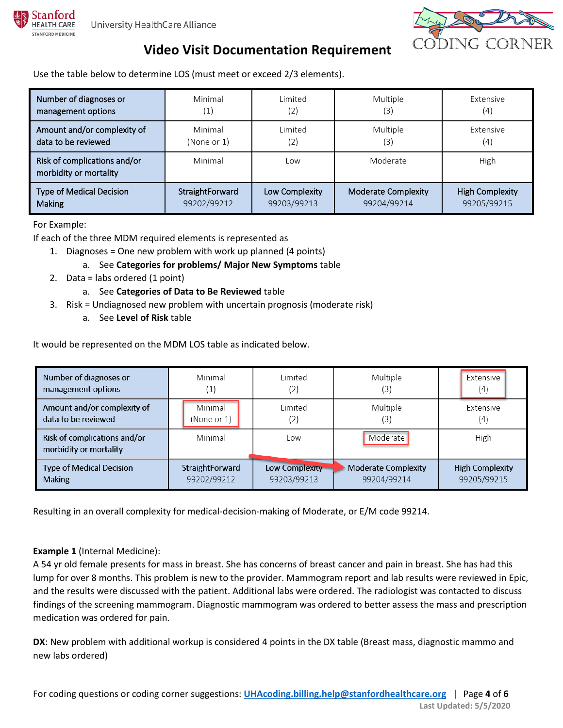



Use the table below to determine LOS (must meet or exceed 2/3 elements).

| Number of diagnoses or                                 | Minimal            | Limited        | Multiple                   | Extensive              |
|--------------------------------------------------------|--------------------|----------------|----------------------------|------------------------|
| management options                                     | $\left( 1 \right)$ | (2)            | (3)                        | (4)                    |
| Amount and/or complexity of                            | Minimal            | Limited        | Multiple                   | Extensive              |
| data to be reviewed                                    | (None or 1)        | (2)            | (3)                        | (4)                    |
| Risk of complications and/or<br>morbidity or mortality | Minimal            | Low            | Moderate                   | High                   |
| <b>Type of Medical Decision</b>                        | StraightForward    | Low Complexity | <b>Moderate Complexity</b> | <b>High Complexity</b> |
| Making                                                 | 99202/99212        | 99203/99213    | 99204/99214                | 99205/99215            |

For Example:

If each of the three MDM required elements is represented as

- 1. Diagnoses = One new problem with work up planned (4 points)
	- a. See **Categories for problems/ Major New Symptoms** table
- 2. Data = labs ordered (1 point)
	- a. See **Categories of Data to Be Reviewed** table
- 3. Risk = Undiagnosed new problem with uncertain prognosis (moderate risk)
	- a. See **Level of Risk** table

It would be represented on the MDM LOS table as indicated below.

| Number of diagnoses or                                 | Minimal                | Limited          | Multiple                   | Extensive              |
|--------------------------------------------------------|------------------------|------------------|----------------------------|------------------------|
| management options                                     | ب اب                   | $\left[2\right]$ | (3)                        | (4)                    |
| Amount and/or complexity of                            | Minimal                | l imited         | Multiple                   | <b>Extensive</b>       |
| data to be reviewed                                    | (None or 1)            | (2)              | (3)                        | (4)                    |
| Risk of complications and/or<br>morbidity or mortality | Minimal                | Low              | Moderate                   | High                   |
| <b>Type of Medical Decision</b>                        | <b>StraightForward</b> | Low Complexity   | <b>Moderate Complexity</b> | <b>High Complexity</b> |
| <b>Making</b>                                          | 99202/99212            | 99203/99213      | 99204/99214                | 99205/99215            |

Resulting in an overall complexity for medical-decision-making of Moderate, or E/M code 99214.

### **Example 1** (Internal Medicine):

A 54 yr old female presents for mass in breast. She has concerns of breast cancer and pain in breast. She has had this lump for over 8 months. This problem is new to the provider. Mammogram report and lab results were reviewed in Epic, and the results were discussed with the patient. Additional labs were ordered. The radiologist was contacted to discuss findings of the screening mammogram. Diagnostic mammogram was ordered to better assess the mass and prescription medication was ordered for pain.

**DX**: New problem with additional workup is considered 4 points in the DX table (Breast mass, diagnostic mammo and new labs ordered)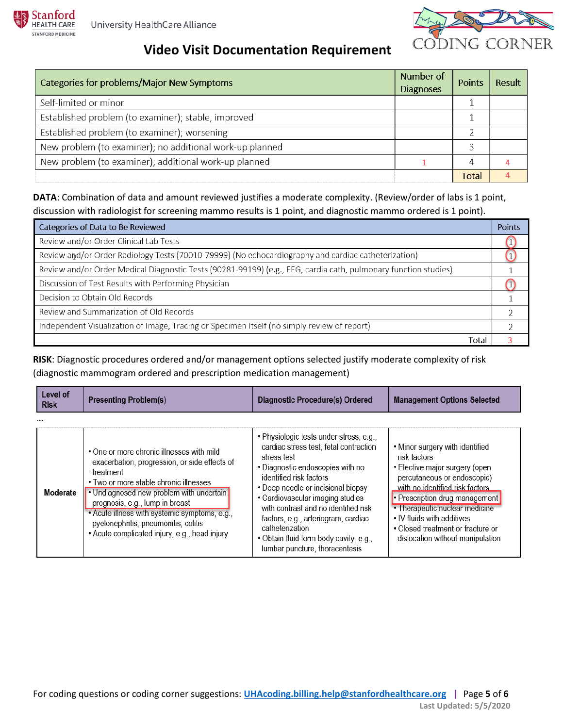

| Categories for problems/Major New Symptoms               | Number of<br><b>Diagnoses</b> | Points | Result |
|----------------------------------------------------------|-------------------------------|--------|--------|
| Self-limited or minor                                    |                               |        |        |
| Established problem (to examiner); stable, improved      |                               |        |        |
| Established problem (to examiner); worsening             |                               |        |        |
| New problem (to examiner); no additional work-up planned |                               |        |        |
| New problem (to examiner); additional work-up planned    |                               |        |        |
|                                                          |                               | Total  |        |

**DATA**: Combination of data and amount reviewed justifies a moderate complexity. (Review/order of labs is 1 point, discussion with radiologist for screening mammo results is 1 point, and diagnostic mammo ordered is 1 point).

| Categories of Data to Be Reviewed                                                                               | <b>Points</b> |
|-----------------------------------------------------------------------------------------------------------------|---------------|
| Review and/or Order Clinical Lab Tests                                                                          |               |
| Review and/or Order Radiology Tests (70010-79999) (No echocardiography and cardiac catheterization)             |               |
| Review and/or Order Medical Diagnostic Tests (90281-99199) (e.g., EEG, cardia cath, pulmonary function studies) |               |
| Discussion of Test Results with Performing Physician                                                            |               |
| Decision to Obtain Old Records                                                                                  |               |
| Review and Summarization of Old Records                                                                         |               |
| Independent Visualization of Image, Tracing or Specimen Itself (no simply review of report)                     |               |
| Total                                                                                                           |               |

**RISK**: Diagnostic procedures ordered and/or management options selected justify moderate complexity of risk (diagnostic mammogram ordered and prescription medication management)

| Level of<br><b>Risk</b> | <b>Presenting Problem(s)</b>                                                                                                                                                                                                                                                                                                                                               | Diagnostic Procedure(s) Ordered                                                                                                                                                                                                                                                                                                                                                                                         | <b>Management Options Selected</b>                                                                                                                                                                                                                                                                                             |
|-------------------------|----------------------------------------------------------------------------------------------------------------------------------------------------------------------------------------------------------------------------------------------------------------------------------------------------------------------------------------------------------------------------|-------------------------------------------------------------------------------------------------------------------------------------------------------------------------------------------------------------------------------------------------------------------------------------------------------------------------------------------------------------------------------------------------------------------------|--------------------------------------------------------------------------------------------------------------------------------------------------------------------------------------------------------------------------------------------------------------------------------------------------------------------------------|
| Moderate                | • One or more chronic illnesses with mild<br>exacerbation, progression, or side effects of<br>treatment<br>• Two or more stable chronic illnesses<br>• Undiagnosed new problem with uncertain<br>prognosis, e.g., lump in breast<br>• Acute illness with systemic symptoms, e.g.,<br>pyelonephritis, pneumonitis, colitis<br>• Acute complicated injury, e.g., head injury | • Physiologic tests under stress, e.g.,<br>cardiac stress test, fetal contraction<br>stress test<br>• Diagnostic endoscopies with no<br>identified risk factors<br>• Deep needle or incisional biopsy<br>• Cardiovascular imaging studies<br>with contrast and no identified risk<br>factors, e.g., arteriogram, cardiac<br>catheterization<br>• Obtain fluid form body cavity, e.g.,<br>lumbar puncture, thoracentesis | • Minor surgery with identified<br>risk factors<br>• Elective major surgery (open<br>percutaneous or endoscopic)<br>with no identified risk factors<br>• Prescription drug management<br>• Therapeutic nuclear medicine<br>• IV fluids with additives<br>• Closed treatment or fracture or<br>dislocation without manipulation |